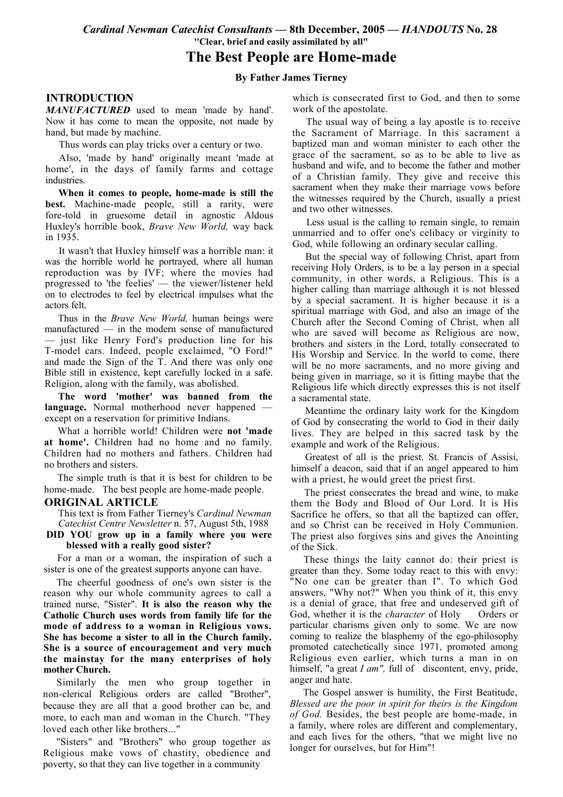Cardinal Newman Catechist Consultants - 8th December, 2005 - HANDOUTS No. 28 "Clear, brief and easily assimilated by all"

# The Best People are Home-made

### **By Father James Tierney**

## **INTRODUCTION**

MANUFACTURED used to mean 'made by hand'. Now it has come to mean the opposite, not made by hand, but made by machine.

Thus words can play tricks over a century or two.

Also, 'made by hand' originally meant 'made at home', in the days of family farms and cottage industries.

When it comes to people, home-made is still the **best.** Machine-made people, still a rarity, were fore-told in gruesome detail in agnostic Aldous Huxley's horrible book. Brave New World, way back in  $1935$ 

It wasn't that Huxley himself was a horrible man: it was the horrible world he portrayed, where all human reproduction was by IVF; where the movies had progressed to 'the feelies' — the viewer/listener held on to electrodes to feel by electrical impulses what the actors felt.

Thus in the *Brave New World*, human beings were manufactured  $-$  in the modern sense of manufactured - just like Henry Ford's production line for his T-model cars. Indeed, people exclaimed, "O Ford!" and made the Sign of the T. And there was only one Bible still in existence, kept carefully locked in a safe. Religion, along with the family, was abolished.

The word 'mother' was banned from the language. Normal motherhood never happened except on a reservation for primitive Indians.

What a horrible world! Children were not 'made at home'. Children had no home and no family. Children had no mothers and fathers. Children had no brothers and sisters

The simple truth is that it is best for children to be home-made. The best people are home-made people.

#### **ORIGINAL ARTICLE**

This text is from Father Tierney's Cardinal Newman Catechist Centre Newsletter n. 57, August 5th, 1988

### DID YOU grow up in a family where you were blessed with a really good sister?

For a man or a woman, the inspiration of such a sister is one of the greatest supports anyone can have.

The cheerful goodness of one's own sister is the reason why our whole community agrees to call a trained nurse, "Sister". It is also the reason why the Catholic Church uses words from family life for the mode of address to a woman in Religious vows. She has become a sister to all in the Church family. She is a source of encouragement and very much the mainstay for the many enterprises of holy mother Church.

Similarly the men who group together in non-clerical Religious orders are called "Brother", because they are all that a good brother can be, and more, to each man and woman in the Church. "They loved each other like brothers..."

"Sisters" and "Brothers" who group together as Religious make vows of chastity, obedience and poverty, so that they can live together in a community

which is consecrated first to God, and then to some work of the apostolate.

The usual way of being a lay apostle is to receive the Sacrament of Marriage. In this sacrament a baptized man and woman minister to each other the grace of the sacrament, so as to be able to live as husband and wife, and to become the father and mother of a Christian family. They give and receive this sacrament when they make their marriage vows before the witnesses required by the Church, usually a priest and two other witnesses.

Less usual is the calling to remain single, to remain unmarried and to offer one's celibacy or virginity to God, while following an ordinary secular calling.

But the special way of following Christ, apart from receiving Holy Orders, is to be a lay person in a special community, in other words, a Religious. This is a higher calling than marriage although it is not blessed by a special sacrament. It is higher because it is a spiritual marriage with God, and also an image of the Church after the Second Coming of Christ, when all who are saved will become as Religious are now, brothers and sisters in the Lord, totally consecrated to His Worship and Service. In the world to come, there will be no more sacraments, and no more giving and being given in marriage, so it is fitting maybe that the Religious life which directly expresses this is not itself a sacramental state.

Meantime the ordinary laity work for the Kingdom of God by consecrating the world to God in their daily lives. They are helped in this sacred task by the example and work of the Religious.

Greatest of all is the priest. St. Francis of Assisi, himself a deacon, said that if an angel appeared to him with a priest, he would greet the priest first.

The priest consecrates the bread and wine, to make them the Body and Blood of Our Lord. It is His Sacrifice he offers, so that all the baptized can offer, and so Christ can be received in Holy Communion. The priest also forgives sins and gives the Anointing of the Sick

These things the laity cannot do: their priest is greater than they. Some today react to this with envy: "No one can be greater than I". To which God answers, "Why not?" When you think of it, this envy is a denial of grace, that free and undeserved gift of God, whether it is the *character* of Holy Orders or particular charisms given only to some. We are now coming to realize the blasphemy of the ego-philosophy promoted catechetically since 1971, promoted among Religious even earlier, which turns a man in on himself, "a great  $I$  am", full of discontent, envy, pride, anger and hate.

The Gospel answer is humility, the First Beatitude, Blessed are the poor in spirit for theirs is the Kingdom of God. Besides, the best people are home-made, in a family, where roles are different and complementary, and each lives for the others, "that we might live no longer for ourselves, but for Him"!